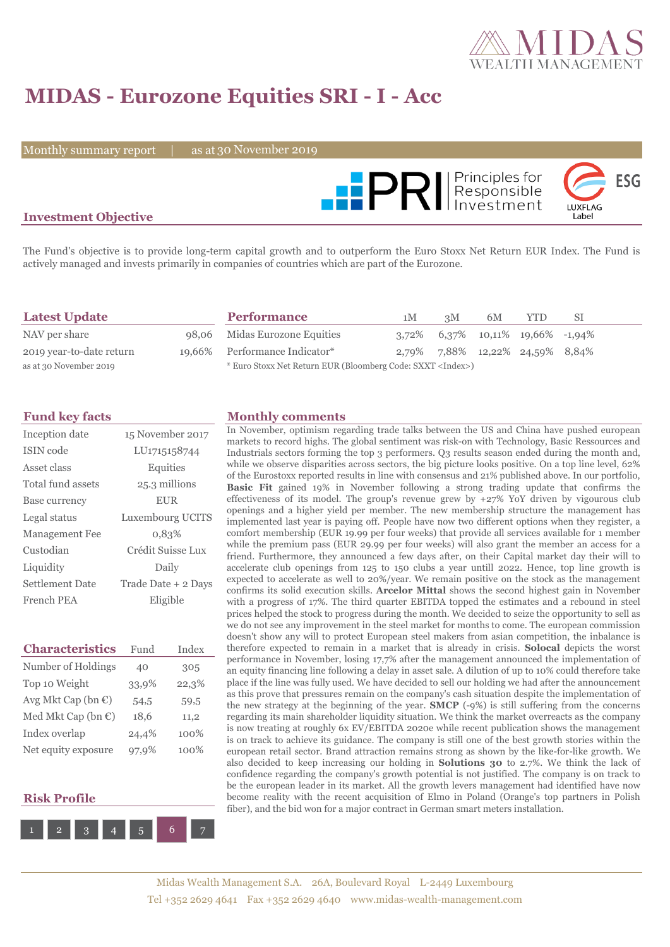

# **MIDAS - Eurozone Equities SRI - I - Acc**

Monthly summary report  $\|$ 

as at 30 November 2019



### **Investment Objective**

The Fund's objective is to provide long-term capital growth and to outperform the Euro Stoxx Net Return EUR Index. The Fund is actively managed and invests primarily in companies of countries which are part of the Eurozone.

| <b>Latest Update</b>     | <b>Performance</b>                                                 | 1M | 3M | 6M | <b>YTD</b>                              | -SI |
|--------------------------|--------------------------------------------------------------------|----|----|----|-----------------------------------------|-----|
| NAV per share            | 98,06 Midas Eurozone Equities                                      |    |    |    | $3,72\%$ 6,37\% 10,11\% 19,66\% -1,94\% |     |
| 2019 year-to-date return | 19,66% Performance Indicator*                                      |    |    |    | 2,79% 7,88% 12,22% 24,59% 8,84%         |     |
| as at 30 November 2019   | * Euro Stoxx Net Return EUR (Bloomberg Code: SXXT <index>)</index> |    |    |    |                                         |     |

| Inception date        | 15 November 2017    |
|-----------------------|---------------------|
| <b>ISIN</b> code      | LU1715158744        |
| Asset class           | Equities            |
| Total fund assets     | 25.3 millions       |
| Base currency         | <b>EUR</b>          |
| Legal status          | Luxembourg UCITS    |
| <b>Management Fee</b> | 0,83%               |
| Custodian             | Crédit Suisse Lux   |
| Liquidity             | Daily               |
| Settlement Date       | Trade Date + 2 Days |
| French PEA            | Eligible            |

| <b>Characteristics</b>         | Fund  | Index   |
|--------------------------------|-------|---------|
| Number of Holdings             | 40    | 305     |
| Top 10 Weight                  | 33,9% | 22,3%   |
| Avg Mkt Cap (bn $\mathbb{C}$ ) | 54,5  | 59,5    |
| Med Mkt Cap (bn $\mathbb{C}$ ) | 18,6  | 11,2    |
| Index overlap                  | 24,4% | 100%    |
| Net equity exposure            | 97,9% | $100\%$ |

#### **Risk Profile**



#### **Fund key facts Monthly comments**

In November, optimism regarding trade talks between the US and China have pushed european markets to record highs. The global sentiment was risk-on with Technology, Basic Ressources and Industrials sectors forming the top 3 performers. Q3 results season ended during the month and, while we observe disparities across sectors, the big picture looks positive. On a top line level, 62% of the Eurostoxx reported results in line with consensus and 21% published above. In our portfolio, **Basic Fit** gained 19% in November following a strong trading update that confirms the effectiveness of its model. The group's revenue grew by +27% YoY driven by vigourous club openings and a higher yield per member. The new membership structure the management has implemented last year is paying off. People have now two different options when they register, a comfort membership (EUR 19.99 per four weeks) that provide all services available for 1 member while the premium pass (EUR 29.99 per four weeks) will also grant the member an access for a friend. Furthermore, they announced a few days after, on their Capital market day their will to accelerate club openings from 125 to 150 clubs a year untill 2022. Hence, top line growth is expected to accelerate as well to 20%/year. We remain positive on the stock as the management confirms its solid execution skills. **Arcelor Mittal** shows the second highest gain in November with a progress of 17%. The third quarter EBITDA topped the estimates and a rebound in steel prices helped the stock to progress during the month. We decided to seize the opportunity to sell as we do not see any improvement in the steel market for months to come. The european commission doesn't show any will to protect European steel makers from asian competition, the inbalance is therefore expected to remain in a market that is already in crisis. **Solocal** depicts the worst performance in November, losing 17,7% after the management announced the implementation of an equity financing line following a delay in asset sale. A dilution of up to 10% could therefore take place if the line was fully used. We have decided to sell our holding we had after the announcement as this prove that pressures remain on the company's cash situation despite the implementation of the new strategy at the beginning of the year. **SMCP** (-9%) is still suffering from the concerns regarding its main shareholder liquidity situation. We think the market overreacts as the company is now treating at roughly 6x EV/EBITDA 2020e while recent publication shows the management is on track to achieve its guidance. The company is still one of the best growth stories within the european retail sector. Brand attraction remains strong as shown by the like-for-like growth. We also decided to keep increasing our holding in **Solutions 30** to 2.7%. We think the lack of confidence regarding the company's growth potential is not justified. The company is on track to be the european leader in its market. All the growth levers management had identified have now become reality with the recent acquisition of Elmo in Poland (Orange's top partners in Polish fiber), and the bid won for a major contract in German smart meters installation.